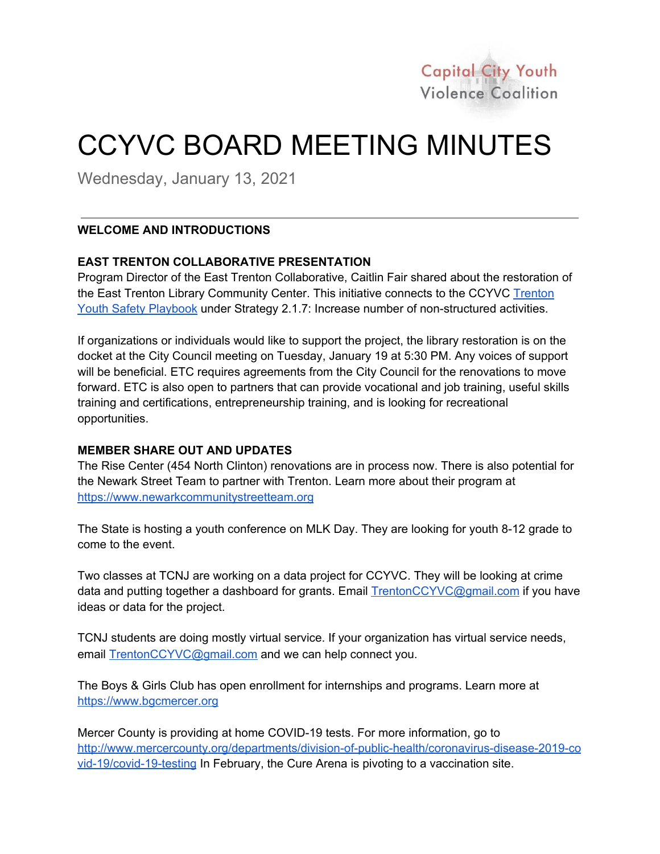

# CCYVC BOARD MEETING MINUTES

Wednesday, January 13, 2021

### **WELCOME AND INTRODUCTIONS**

#### **EAST TRENTON COLLABORATIVE PRESENTATION**

Program Director of the East Trenton Collaborative, Caitlin Fair shared about the restoration of the East Trenton Library Community Center. This initiative connects to the CCYVC [Trenton](https://ccyvc.pages.tcnj.edu/files/2019/04/CCYVC-Playbook-April-2019.pdf) Youth Safety [Playbook](https://ccyvc.pages.tcnj.edu/files/2019/04/CCYVC-Playbook-April-2019.pdf) under Strategy 2.1.7: Increase number of non-structured activities.

If organizations or individuals would like to support the project, the library restoration is on the docket at the City Council meeting on Tuesday, January 19 at 5:30 PM. Any voices of support will be beneficial. ETC requires agreements from the City Council for the renovations to move forward. ETC is also open to partners that can provide vocational and job training, useful skills training and certifications, entrepreneurship training, and is looking for recreational opportunities.

#### **MEMBER SHARE OUT AND UPDATES**

The Rise Center (454 North Clinton) renovations are in process now. There is also potential for the Newark Street Team to partner with Trenton. Learn more about their program at [https://www.newarkcommunitystreetteam.org](https://www.newarkcommunitystreetteam.org/)

The State is hosting a youth conference on MLK Day. They are looking for youth 8-12 grade to come to the event.

Two classes at TCNJ are working on a data project for CCYVC. They will be looking at crime data and putting together a dashboard for grants. Email [TrentonCCYVC@gmail.com](mailto:TrentonCCYVC@gmail.com) if you have ideas or data for the project.

TCNJ students are doing mostly virtual service. If your organization has virtual service needs, email [TrentonCCYVC@gmail.com](mailto:TrentonCCYVC@gmail.com) and we can help connect you.

The Boys & Girls Club has open enrollment for internships and programs. Learn more at [https://www.bgcmercer.org](https://www.bgcmercer.org/)

Mercer County is providing at home COVID-19 tests. For more information, go to [http://www.mercercounty.org/departments/division-of-public-health/coronavirus-disease-2019-co](http://www.mercercounty.org/departments/division-of-public-health/coronavirus-disease-2019-covid-19/covid-19-testing) [vid-19/covid-19-testing](http://www.mercercounty.org/departments/division-of-public-health/coronavirus-disease-2019-covid-19/covid-19-testing) In February, the Cure Arena is pivoting to a vaccination site.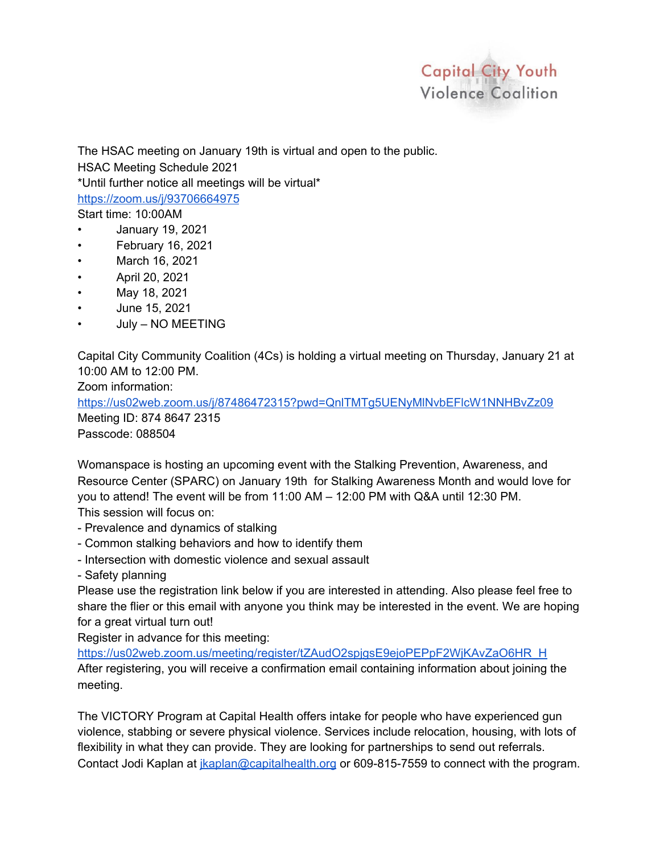

The HSAC meeting on January 19th is virtual and open to the public.

HSAC Meeting Schedule 2021

\*Until further notice all meetings will be virtual\*

<https://zoom.us/j/93706664975>

Start time: 10:00AM

- January 19, 2021
- February 16, 2021
- March 16, 2021
- April 20, 2021
- May 18, 2021
- June 15, 2021
- July NO MEETING

Capital City Community Coalition (4Cs) is holding a virtual meeting on Thursday, January 21 at 10:00 AM to 12:00 PM.

Zoom information:

<https://us02web.zoom.us/j/87486472315?pwd=QnlTMTg5UENyMlNvbEFlcW1NNHBvZz09> Meeting ID: 874 8647 2315 Passcode: 088504

Womanspace is hosting an upcoming event with the Stalking Prevention, Awareness, and Resource Center (SPARC) on January 19th for Stalking Awareness Month and would love for you to attend! The event will be from 11:00 AM – 12:00 PM with Q&A until 12:30 PM.

This session will focus on:

- Prevalence and dynamics of stalking
- Common stalking behaviors and how to identify them
- Intersection with domestic violence and sexual assault
- Safety planning

Please use the registration link below if you are interested in attending. Also please feel free to share the flier or this email with anyone you think may be interested in the event. We are hoping for a great virtual turn out!

Register in advance for this meeting:

[https://us02web.zoom.us/meeting/register/tZAudO2spjgsE9ejoPEPpF2WjKAvZaO6HR\\_H](https://us02web.zoom.us/meeting/register/tZAudO2spjgsE9ejoPEPpF2WjKAvZaO6HR_H) After registering, you will receive a confirmation email containing information about joining the meeting.

The VICTORY Program at Capital Health offers intake for people who have experienced gun violence, stabbing or severe physical violence. Services include relocation, housing, with lots of flexibility in what they can provide. They are looking for partnerships to send out referrals. Contact Jodi Kaplan at [jkaplan@capitalhealth.org](mailto:jkaplan@capitalhealth.org) or 609-815-7559 to connect with the program.